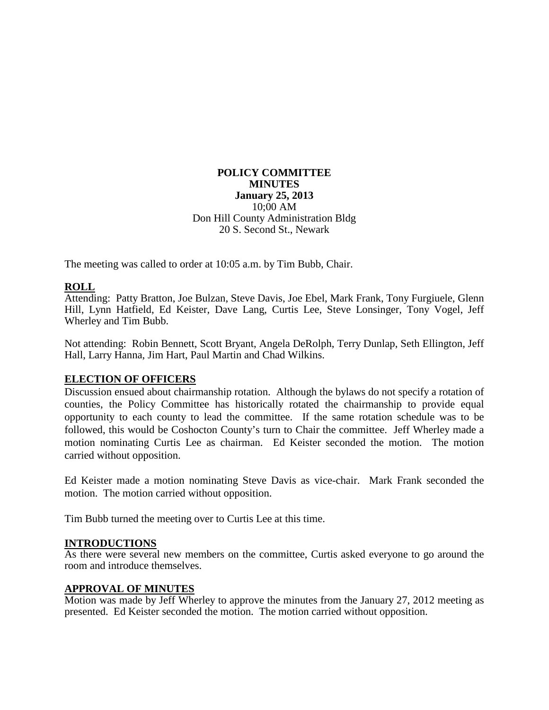#### **POLICY COMMITTEE MINUTES January 25, 2013** 10;00 AM Don Hill County Administration Bldg 20 S. Second St., Newark

The meeting was called to order at 10:05 a.m. by Tim Bubb, Chair.

# **ROLL**

Attending: Patty Bratton, Joe Bulzan, Steve Davis, Joe Ebel, Mark Frank, Tony Furgiuele, Glenn Hill, Lynn Hatfield, Ed Keister, Dave Lang, Curtis Lee, Steve Lonsinger, Tony Vogel, Jeff Wherley and Tim Bubb.

Not attending: Robin Bennett, Scott Bryant, Angela DeRolph, Terry Dunlap, Seth Ellington, Jeff Hall, Larry Hanna, Jim Hart, Paul Martin and Chad Wilkins.

## **ELECTION OF OFFICERS**

Discussion ensued about chairmanship rotation. Although the bylaws do not specify a rotation of counties, the Policy Committee has historically rotated the chairmanship to provide equal opportunity to each county to lead the committee. If the same rotation schedule was to be followed, this would be Coshocton County's turn to Chair the committee. Jeff Wherley made a motion nominating Curtis Lee as chairman. Ed Keister seconded the motion. The motion carried without opposition.

Ed Keister made a motion nominating Steve Davis as vice-chair. Mark Frank seconded the motion. The motion carried without opposition.

Tim Bubb turned the meeting over to Curtis Lee at this time.

#### **INTRODUCTIONS**

As there were several new members on the committee, Curtis asked everyone to go around the room and introduce themselves.

#### **APPROVAL OF MINUTES**

Motion was made by Jeff Wherley to approve the minutes from the January 27, 2012 meeting as presented. Ed Keister seconded the motion. The motion carried without opposition.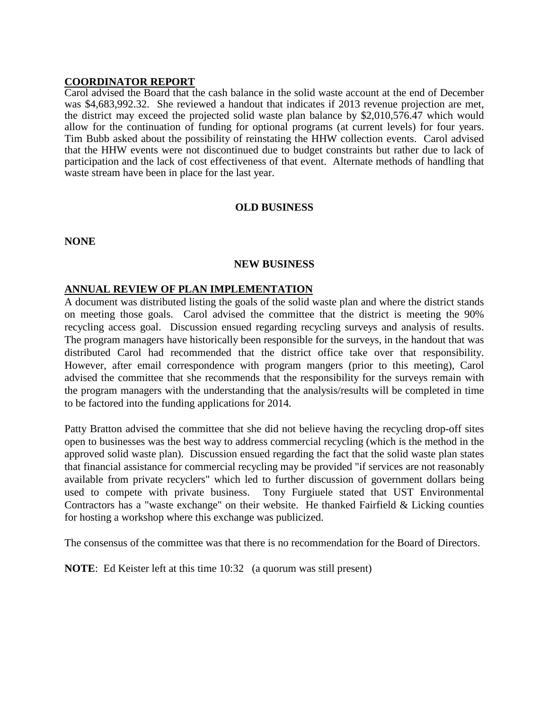#### **COORDINATOR REPORT**

Carol advised the Board that the cash balance in the solid waste account at the end of December was \$4,683,992.32. She reviewed a handout that indicates if 2013 revenue projection are met, the district may exceed the projected solid waste plan balance by \$2,010,576.47 which would allow for the continuation of funding for optional programs (at current levels) for four years. Tim Bubb asked about the possibility of reinstating the HHW collection events. Carol advised that the HHW events were not discontinued due to budget constraints but rather due to lack of participation and the lack of cost effectiveness of that event. Alternate methods of handling that waste stream have been in place for the last year.

#### **OLD BUSINESS**

**NONE**

#### **NEW BUSINESS**

#### **ANNUAL REVIEW OF PLAN IMPLEMENTATION**

A document was distributed listing the goals of the solid waste plan and where the district stands on meeting those goals. Carol advised the committee that the district is meeting the 90% recycling access goal. Discussion ensued regarding recycling surveys and analysis of results. The program managers have historically been responsible for the surveys, in the handout that was distributed Carol had recommended that the district office take over that responsibility. However, after email correspondence with program mangers (prior to this meeting), Carol advised the committee that she recommends that the responsibility for the surveys remain with the program managers with the understanding that the analysis/results will be completed in time to be factored into the funding applications for 2014.

Patty Bratton advised the committee that she did not believe having the recycling drop-off sites open to businesses was the best way to address commercial recycling (which is the method in the approved solid waste plan). Discussion ensued regarding the fact that the solid waste plan states that financial assistance for commercial recycling may be provided "if services are not reasonably available from private recyclers" which led to further discussion of government dollars being used to compete with private business. Tony Furgiuele stated that UST Environmental Contractors has a "waste exchange" on their website. He thanked Fairfield & Licking counties for hosting a workshop where this exchange was publicized.

The consensus of the committee was that there is no recommendation for the Board of Directors.

**NOTE:** Ed Keister left at this time 10:32 (a quorum was still present)